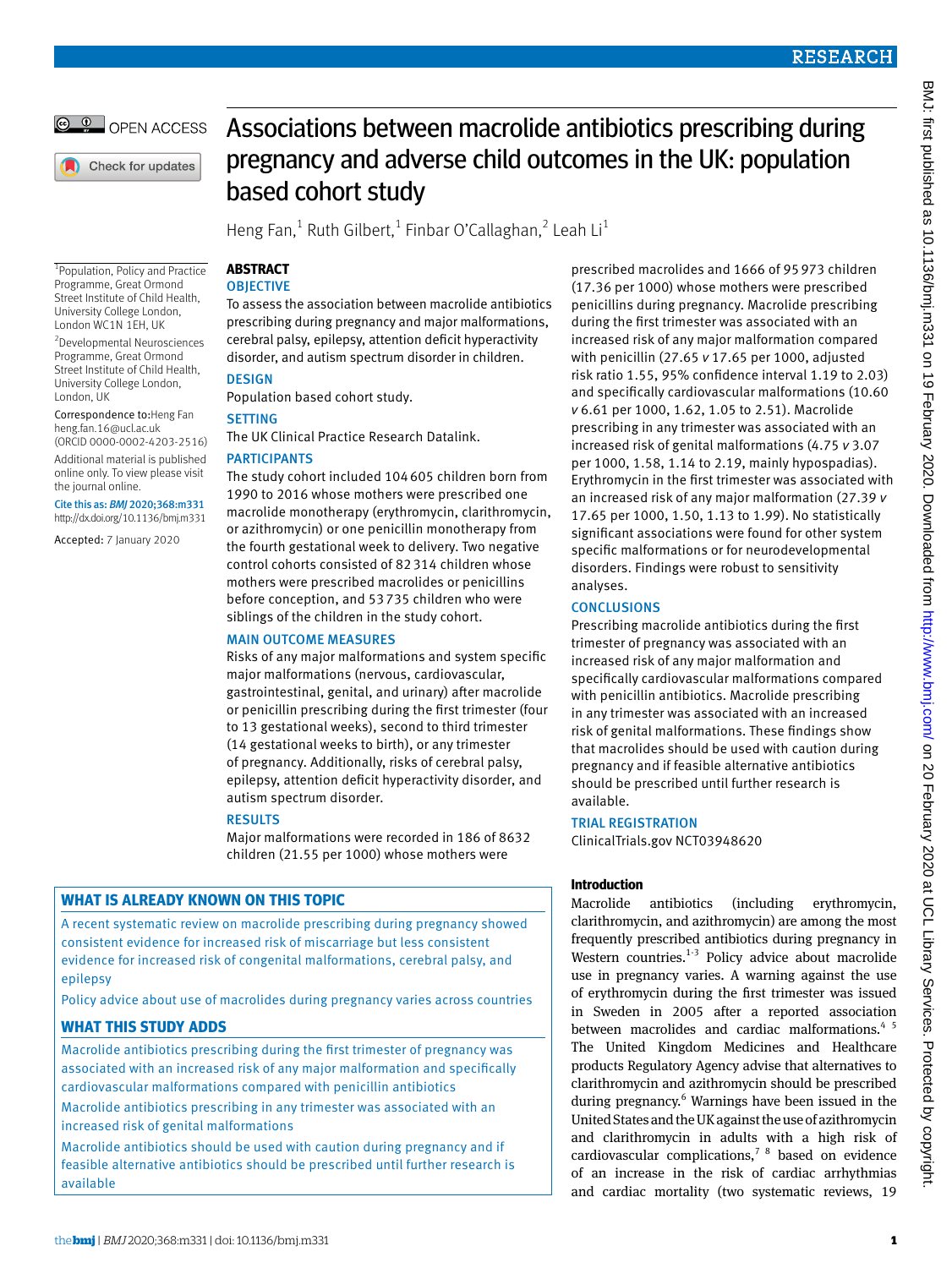

Check for updates

1 Population, Policy and Practice Programme, Great Ormond Street Institute of Child Health, University College London, London WC1N 1EH, UK 2 Developmental Neurosciences Programme, Great Ormond Street Institute of Child Health, University College London,

Correspondence to:Heng Fan [heng.fan.16@ucl.ac.uk](mailto:heng.fan.16@ucl.ac.uk) (ORCID [0000-0002-4203-2516\)](http://orcid.org/0000-0002-4203-2516) Additional material is published online only. To view please visit

Cite this as: *BMJ* 2020;368:m331 http://dx.doi.org/10.1136/bmj.m331 Accepted: 7 January 2020

London, UK

the journal online.

Associations between macrolide antibiotics prescribing during pregnancy and adverse child outcomes in the UK: population based cohort study

Heng Fan,<sup>1</sup> Ruth Gilbert,<sup>1</sup> Finbar O'Callaghan,<sup>2</sup> Leah Li<sup>1</sup>

# **Abstract**

# **OBJECTIVE**

To assess the association between macrolide antibiotics prescribing during pregnancy and major malformations, cerebral palsy, epilepsy, attention deficit hyperactivity disorder, and autism spectrum disorder in children.

## **DESIGN**

Population based cohort study.

## **SETTING**

The UK Clinical Practice Research Datalink.

## **PARTICIPANTS**

The study cohort included 104605 children born from 1990 to 2016 whose mothers were prescribed one macrolide monotherapy (erythromycin, clarithromycin, or azithromycin) or one penicillin monotherapy from the fourth gestational week to delivery. Two negative control cohorts consisted of 82314 children whose mothers were prescribed macrolides or penicillins before conception, and 53735 children who were siblings of the children in the study cohort.

## Main outcome measures

Risks of any major malformations and system specific major malformations (nervous, cardiovascular, gastrointestinal, genital, and urinary) after macrolide or penicillin prescribing during the first trimester (four to 13 gestational weeks), second to third trimester (14 gestational weeks to birth), or any trimester of pregnancy. Additionally, risks of cerebral palsy, epilepsy, attention deficit hyperactivity disorder, and autism spectrum disorder.

## **RESULTS**

Major malformations were recorded in 186 of 8632 children (21.55 per 1000) whose mothers were

# **What is already known on this topic**

A recent systematic review on macrolide prescribing during pregnancy showed consistent evidence for increased risk of miscarriage but less consistent evidence for increased risk of congenital malformations, cerebral palsy, and epilepsy

Policy advice about use of macrolides during pregnancy varies across countries

# **What this study adds**

Macrolide antibiotics prescribing during the first trimester of pregnancy was associated with an increased risk of any major malformation and specifically cardiovascular malformations compared with penicillin antibiotics Macrolide antibiotics prescribing in any trimester was associated with an increased risk of genital malformations

Macrolide antibiotics should be used with caution during pregnancy and if feasible alternative antibiotics should be prescribed until further research is available

prescribed macrolides and 1666 of 95973 children (17.36 per 1000) whose mothers were prescribed penicillins during pregnancy. Macrolide prescribing during the first trimester was associated with an increased risk of any major malformation compared with penicillin (27.65 *v* 17.65 per 1000, adjusted risk ratio 1.55, 95% confidence interval 1.19 to 2.03) and specifically cardiovascular malformations (10.60 *v* 6.61 per 1000, 1.62, 1.05 to 2.51). Macrolide prescribing in any trimester was associated with an increased risk of genital malformations (4.75 *v* 3.07 per 1000, 1.58, 1.14 to 2.19, mainly hypospadias). Erythromycin in the first trimester was associated with an increased risk of any major malformation (27.39 *v* 17.65 per 1000, 1.50, 1.13 to 1.99). No statistically significant associations were found for other system specific malformations or for neurodevelopmental disorders. Findings were robust to sensitivity analyses.

# **CONCLUSIONS**

Prescribing macrolide antibiotics during the first trimester of pregnancy was associated with an increased risk of any major malformation and specifically cardiovascular malformations compared with penicillin antibiotics. Macrolide prescribing in any trimester was associated with an increased risk of genital malformations. These findings show that macrolides should be used with caution during pregnancy and if feasible alternative antibiotics should be prescribed until further research is available.

## Trial registration

ClinicalTrials.gov NCT03948620

# **Introduction**

Macrolide antibiotics (including erythromycin, clarithromycin, and azithromycin) are among the most frequently prescribed antibiotics during pregnancy in Western countries. $1-3$  Policy advice about macrolide use in pregnancy varies. A warning against the use of erythromycin during the first trimester was issued in Sweden in 2005 after a reported association between macrolides and cardiac malformations.<sup>45</sup> The United Kingdom Medicines and Healthcare products Regulatory Agency advise that alternatives to clarithromycin and azithromycin should be prescribed during pregnancy.<sup>6</sup> Warnings have been issued in the United States and the UK against the use of azithromycin and clarithromycin in adults with a high risk of cardiovascular complications,<sup>7</sup>  $8$  based on evidence of an increase in the risk of cardiac arrhythmias and cardiac mortality (two systematic reviews, 19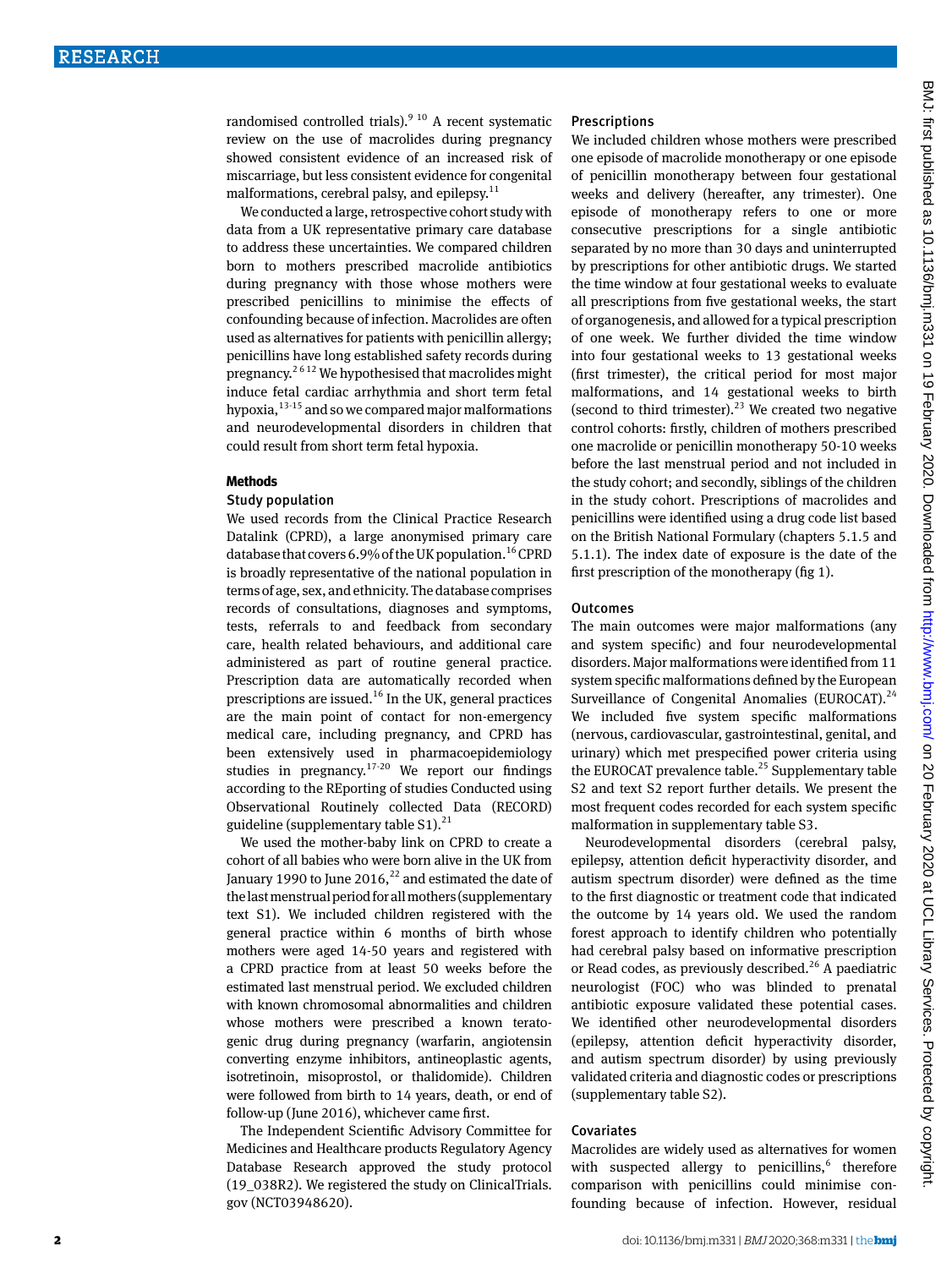randomised controlled trials).<sup>9 10</sup> A recent systematic review on the use of macrolides during pregnancy showed consistent evidence of an increased risk of miscarriage, but less consistent evidence for congenital malformations, cerebral palsy, and epilepsy. $11$ 

We conducted a large, retrospective cohort study with data from a UK representative primary care database to address these uncertainties. We compared children born to mothers prescribed macrolide antibiotics during pregnancy with those whose mothers were prescribed penicillins to minimise the effects of confounding because of infection. Macrolides are often used as alternatives for patients with penicillin allergy; penicillins have long established safety records during pregnancy.2 6 12 We hypothesised that macrolides might induce fetal cardiac arrhythmia and short term fetal hypoxia,13-15 and so we compared major malformations and neurodevelopmental disorders in children that could result from short term fetal hypoxia.

#### **Methods**

### Study population

We used records from the Clinical Practice Research Datalink (CPRD), a large anonymised primary care database that covers 6.9% of the UK population.<sup>16</sup> CPRD is broadly representative of the national population in terms of age, sex, and ethnicity. The database comprises records of consultations, diagnoses and symptoms, tests, referrals to and feedback from secondary care, health related behaviours, and additional care administered as part of routine general practice. Prescription data are automatically recorded when prescriptions are issued. $16$  In the UK, general practices are the main point of contact for non-emergency medical care, including pregnancy, and CPRD has been extensively used in pharmacoepidemiology studies in pregnancy. $17-20$  We report our findings according to the REporting of studies Conducted using Observational Routinely collected Data (RECORD) guideline (supplementary table  $S1$ ).<sup>21</sup>

We used the mother-baby link on CPRD to create a cohort of all babies who were born alive in the UK from January 1990 to June 2016, $^{22}$  and estimated the date of the last menstrual period for all mothers (supplementary text S1). We included children registered with the general practice within 6 months of birth whose mothers were aged 14-50 years and registered with a CPRD practice from at least 50 weeks before the estimated last menstrual period. We excluded children with known chromosomal abnormalities and children whose mothers were prescribed a known teratogenic drug during pregnancy (warfarin, angiotensin converting enzyme inhibitors, antineoplastic agents, isotretinoin, misoprostol, or thalidomide). Children were followed from birth to 14 years, death, or end of follow-up (June 2016), whichever came first.

The Independent Scientific Advisory Committee for Medicines and Healthcare products Regulatory Agency Database Research approved the study protocol (19\_038R2). We registered the study on ClinicalTrials. gov (NCT03948620).

### Prescriptions

We included children whose mothers were prescribed one episode of macrolide monotherapy or one episode of penicillin monotherapy between four gestational weeks and delivery (hereafter, any trimester). One episode of monotherapy refers to one or more consecutive prescriptions for a single antibiotic separated by no more than 30 days and uninterrupted by prescriptions for other antibiotic drugs. We started the time window at four gestational weeks to evaluate all prescriptions from five gestational weeks, the start of organogenesis, and allowed for a typical prescription of one week. We further divided the time window into four gestational weeks to 13 gestational weeks (first trimester), the critical period for most major malformations, and 14 gestational weeks to birth (second to third trimester). $^{23}$  We created two negative control cohorts: firstly, children of mothers prescribed one macrolide or penicillin monotherapy 50-10 weeks before the last menstrual period and not included in the study cohort; and secondly, siblings of the children in the study cohort. Prescriptions of macrolides and penicillins were identified using a drug code list based on the British National Formulary (chapters 5.1.5 and 5.1.1). The index date of exposure is the date of the first prescription of the monotherapy (fig 1).

### **Outcomes**

The main outcomes were major malformations (any and system specific) and four neurodevelopmental disorders. Major malformations were identified from 11 system specific malformations defined by the European Surveillance of Congenital Anomalies (EUROCAT).<sup>24</sup> We included five system specific malformations (nervous, cardiovascular, gastrointestinal, genital, and urinary) which met prespecified power criteria using the EUROCAT prevalence table.<sup>25</sup> Supplementary table S2 and text S2 report further details. We present the most frequent codes recorded for each system specific malformation in supplementary table S3.

Neurodevelopmental disorders (cerebral palsy, epilepsy, attention deficit hyperactivity disorder, and autism spectrum disorder) were defined as the time to the first diagnostic or treatment code that indicated the outcome by 14 years old. We used the random forest approach to identify children who potentially had cerebral palsy based on informative prescription or Read codes, as previously described.<sup>26</sup> A paediatric neurologist (FOC) who was blinded to prenatal antibiotic exposure validated these potential cases. We identified other neurodevelopmental disorders (epilepsy, attention deficit hyperactivity disorder, and autism spectrum disorder) by using previously validated criteria and diagnostic codes or prescriptions (supplementary table S2).

### Covariates

Macrolides are widely used as alternatives for women with suspected allergy to penicillins,<sup>6</sup> therefore comparison with penicillins could minimise confounding because of infection. However, residual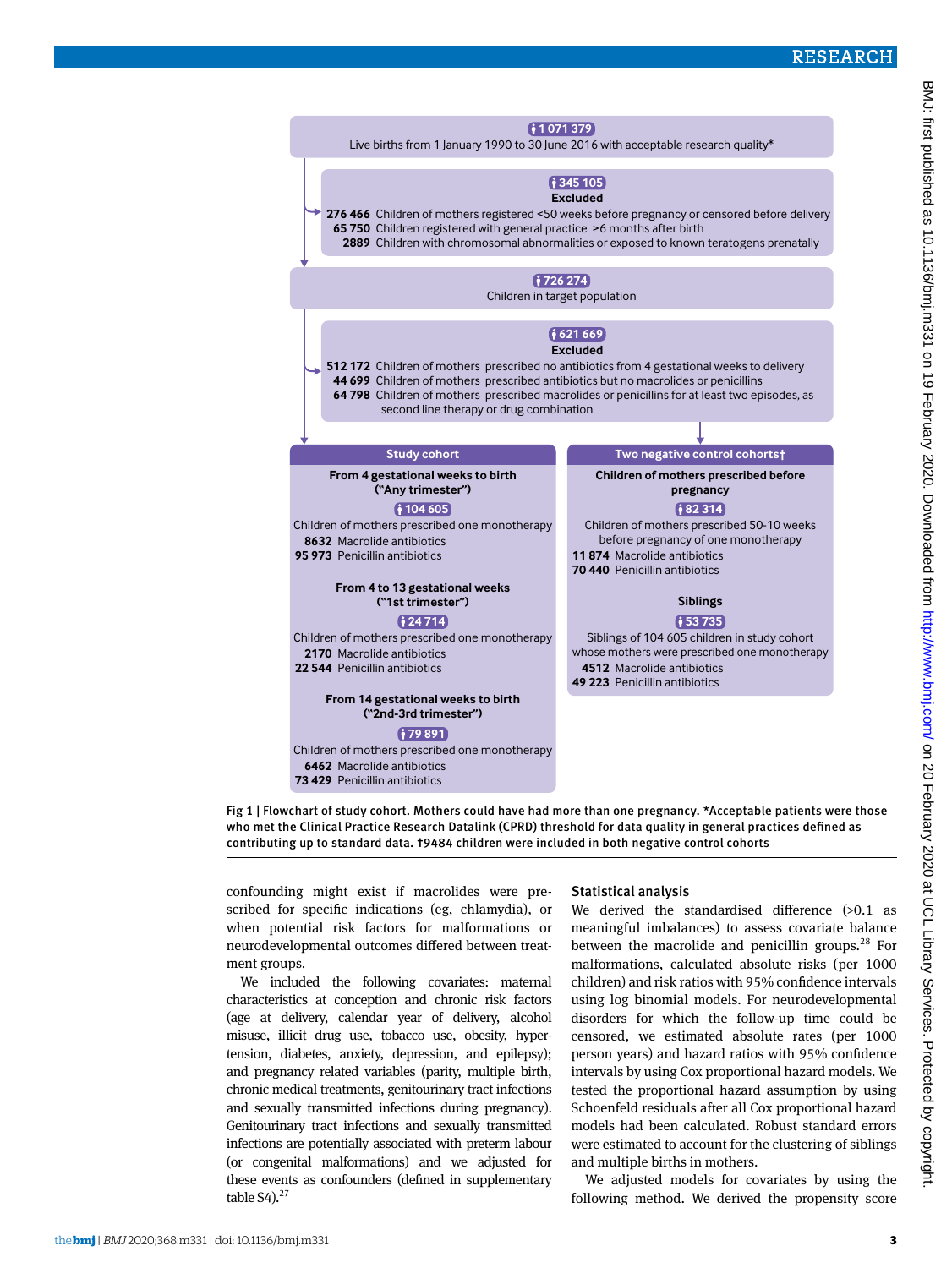

Fig 1 | Flowchart of study cohort. Mothers could have had more than one pregnancy. \*Acceptable patients were those who met the Clinical Practice Research Datalink (CPRD) threshold for data quality in general practices defined as contributing up to standard data. †9484 children were included in both negative control cohorts

confounding might exist if macrolides were prescribed for specific indications (eg, chlamydia), or when potential risk factors for malformations or neurodevelopmental outcomes differed between treatment groups.

We included the following covariates: maternal characteristics at conception and chronic risk factors (age at delivery, calendar year of delivery, alcohol misuse, illicit drug use, tobacco use, obesity, hypertension, diabetes, anxiety, depression, and epilepsy); and pregnancy related variables (parity, multiple birth, chronic medical treatments, genitourinary tract infections and sexually transmitted infections during pregnancy). Genitourinary tract infections and sexually transmitted infections are potentially associated with preterm labour (or congenital malformations) and we adjusted for these events as confounders (defined in supplementary table  $S4$ ).<sup>27</sup>

## Statistical analysis

We derived the standardised difference (>0.1 as meaningful imbalances) to assess covariate balance between the macrolide and penicillin groups. $28$  For malformations, calculated absolute risks (per 1000 children) and risk ratios with 95% confidence intervals using log binomial models. For neurodevelopmental disorders for which the follow-up time could be censored, we estimated absolute rates (per 1000 person years) and hazard ratios with 95% confidence intervals by using Cox proportional hazard models. We tested the proportional hazard assumption by using Schoenfeld residuals after all Cox proportional hazard models had been calculated. Robust standard errors were estimated to account for the clustering of siblings and multiple births in mothers.

We adjusted models for covariates by using the following method. We derived the propensity score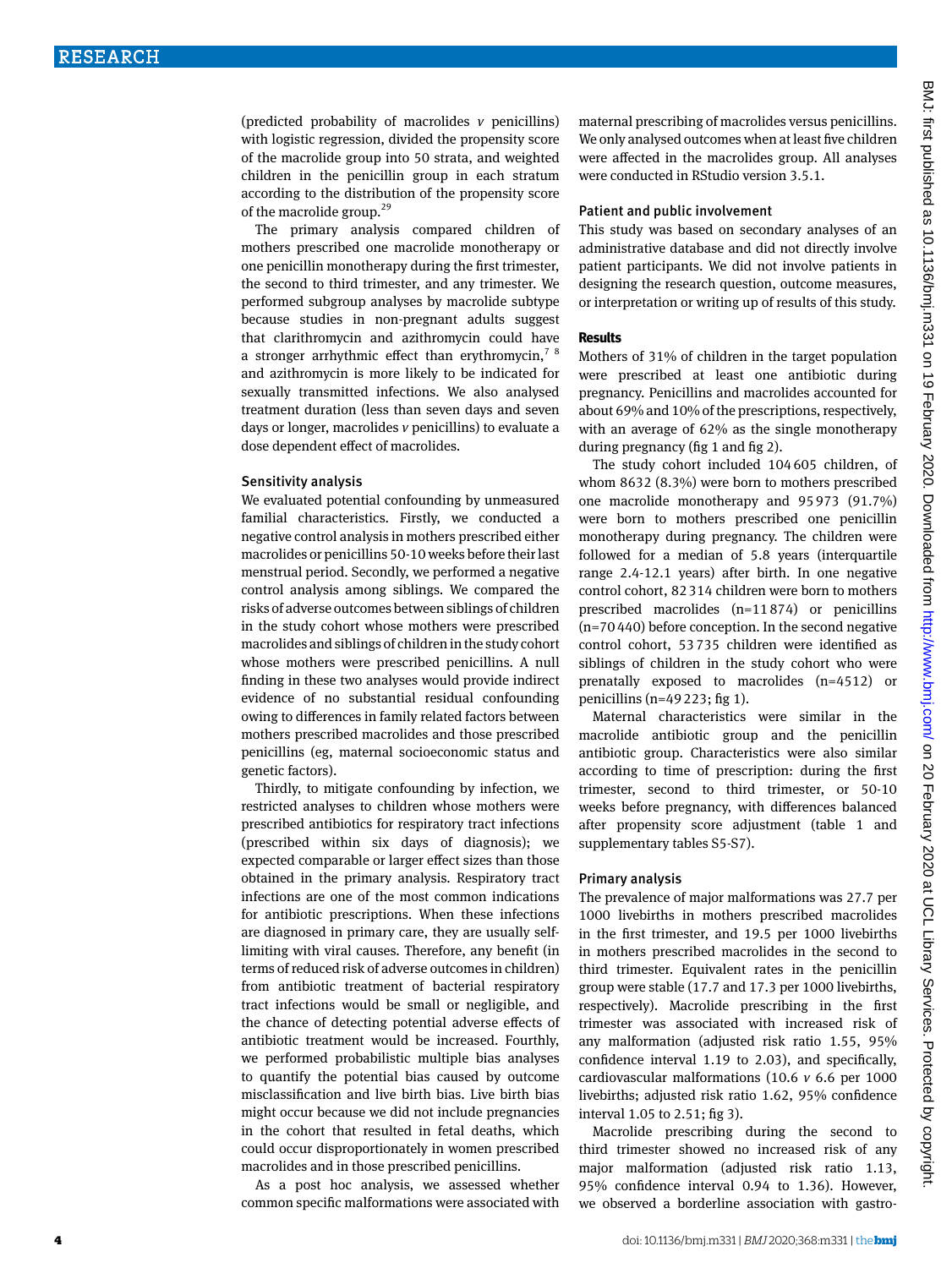(predicted probability of macrolides *v* penicillins) with logistic regression, divided the propensity score of the macrolide group into 50 strata, and weighted children in the penicillin group in each stratum according to the distribution of the propensity score of the macrolide group.<sup>29</sup>

The primary analysis compared children of mothers prescribed one macrolide monotherapy or one penicillin monotherapy during the first trimester, the second to third trimester, and any trimester. We performed subgroup analyses by macrolide subtype because studies in non-pregnant adults suggest that clarithromycin and azithromycin could have a stronger arrhythmic effect than erythromycin,<sup>7</sup>  $8$ and azithromycin is more likely to be indicated for sexually transmitted infections. We also analysed treatment duration (less than seven days and seven days or longer, macrolides *v* penicillins) to evaluate a dose dependent effect of macrolides.

#### Sensitivity analysis

We evaluated potential confounding by unmeasured familial characteristics. Firstly, we conducted a negative control analysis in mothers prescribed either macrolides or penicillins 50-10 weeks before their last menstrual period. Secondly, we performed a negative control analysis among siblings. We compared the risks of adverse outcomes between siblings of children in the study cohort whose mothers were prescribed macrolides and siblings of children in the study cohort whose mothers were prescribed penicillins. A null finding in these two analyses would provide indirect evidence of no substantial residual confounding owing to differences in family related factors between mothers prescribed macrolides and those prescribed penicillins (eg, maternal socioeconomic status and genetic factors).

Thirdly, to mitigate confounding by infection, we restricted analyses to children whose mothers were prescribed antibiotics for respiratory tract infections (prescribed within six days of diagnosis); we expected comparable or larger effect sizes than those obtained in the primary analysis. Respiratory tract infections are one of the most common indications for antibiotic prescriptions. When these infections are diagnosed in primary care, they are usually selflimiting with viral causes. Therefore, any benefit (in terms of reduced risk of adverse outcomes in children) from antibiotic treatment of bacterial respiratory tract infections would be small or negligible, and the chance of detecting potential adverse effects of antibiotic treatment would be increased. Fourthly, we performed probabilistic multiple bias analyses to quantify the potential bias caused by outcome misclassification and live birth bias. Live birth bias might occur because we did not include pregnancies in the cohort that resulted in fetal deaths, which could occur disproportionately in women prescribed macrolides and in those prescribed penicillins.

As a post hoc analysis, we assessed whether common specific malformations were associated with maternal prescribing of macrolides versus penicillins. We only analysed outcomes when at least five children were affected in the macrolides group. All analyses were conducted in RStudio version 3.5.1.

### Patient and public involvement

This study was based on secondary analyses of an administrative database and did not directly involve patient participants. We did not involve patients in designing the research question, outcome measures, or interpretation or writing up of results of this study.

### **Results**

Mothers of 31% of children in the target population were prescribed at least one antibiotic during pregnancy. Penicillins and macrolides accounted for about 69% and 10% of the prescriptions, respectively, with an average of 62% as the single monotherapy during pregnancy (fig 1 and fig 2).

The study cohort included 104605 children, of whom 8632 (8.3%) were born to mothers prescribed one macrolide monotherapy and 95973 (91.7%) were born to mothers prescribed one penicillin monotherapy during pregnancy. The children were followed for a median of 5.8 years (interquartile range 2.4-12.1 years) after birth. In one negative control cohort, 82314 children were born to mothers prescribed macrolides (n=11874) or penicillins (n=70440) before conception. In the second negative control cohort, 53735 children were identified as siblings of children in the study cohort who were prenatally exposed to macrolides (n=4512) or penicillins (n=49223; fig 1).

Maternal characteristics were similar in the macrolide antibiotic group and the penicillin antibiotic group. Characteristics were also similar according to time of prescription: during the first trimester, second to third trimester, or 50-10 weeks before pregnancy, with differences balanced after propensity score adjustment (table 1 and supplementary tables S5-S7).

## Primary analysis

The prevalence of major malformations was 27.7 per 1000 livebirths in mothers prescribed macrolides in the first trimester, and 19.5 per 1000 livebirths in mothers prescribed macrolides in the second to third trimester. Equivalent rates in the penicillin group were stable (17.7 and 17.3 per 1000 livebirths, respectively). Macrolide prescribing in the first trimester was associated with increased risk of any malformation (adjusted risk ratio 1.55, 95% confidence interval 1.19 to 2.03), and specifically, cardiovascular malformations (10.6 *v* 6.6 per 1000 livebirths; adjusted risk ratio 1.62, 95% confidence interval 1.05 to 2.51; fig 3).

Macrolide prescribing during the second to third trimester showed no increased risk of any major malformation (adjusted risk ratio 1.13, 95% confidence interval 0.94 to 1.36). However, we observed a borderline association with gastro-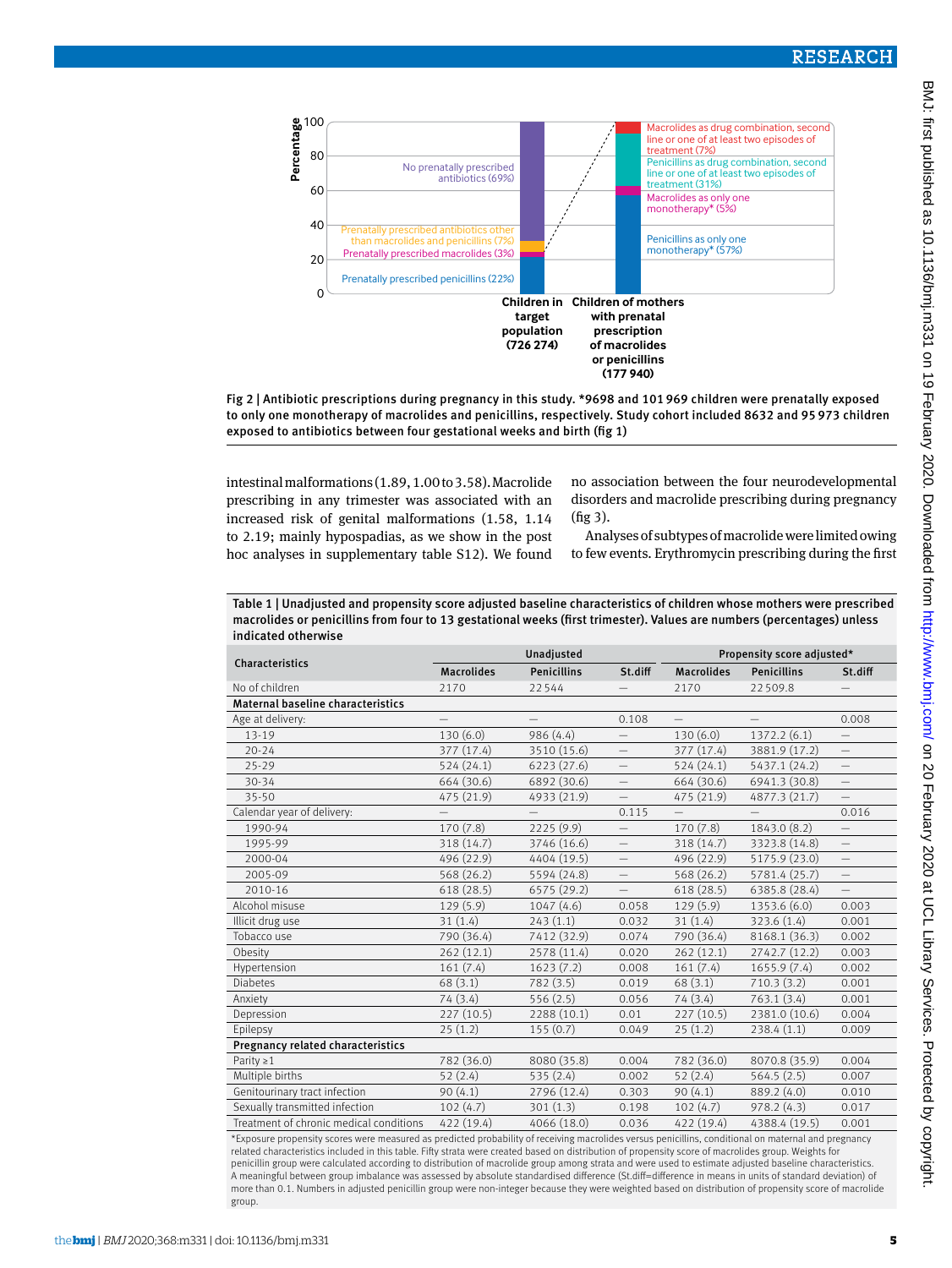

Fig 2 | Antibiotic prescriptions during pregnancy in this study. \*9698 and 101 969 children were prenatally exposed to only one monotherapy of macrolides and penicillins, respectively. Study cohort included 8632 and 95 973 children exposed to antibiotics between four gestational weeks and birth (fig 1)

intestinal malformations (1.89, 1.00 to 3.58). Macrolide prescribing in any trimester was associated with an increased risk of genital malformations (1.58, 1.14 to 2.19; mainly hypospadias, as we show in the post hoc analyses in supplementary table S12). We found no association between the four neurodevelopmental disorders and macrolide prescribing during pregnancy (fig 3).

Analyses of subtypes of macrolide were limited owing to few events. Erythromycin prescribing during the first

Table 1 | Unadjusted and propensity score adjusted baseline characteristics of children whose mothers were prescribed macrolides or penicillins from four to 13 gestational weeks (first trimester). Values are numbers (percentages) unless indicated otherwise

|                                         |                   | Unadjusted         |                          | Propensity score adjusted* |                          |                          |
|-----------------------------------------|-------------------|--------------------|--------------------------|----------------------------|--------------------------|--------------------------|
| Characteristics                         | <b>Macrolides</b> | <b>Penicillins</b> | St.diff                  | <b>Macrolides</b>          | <b>Penicillins</b>       | St.diff                  |
| No of children                          | 2170              | 22544              |                          | 2170                       | 22509.8                  |                          |
| Maternal baseline characteristics       |                   |                    |                          |                            |                          |                          |
| Age at delivery:                        |                   |                    | 0.108                    | $\qquad \qquad -$          |                          | 0.008                    |
| $13 - 19$                               | 130(6.0)          | 986 (4.4)          |                          | 130(6.0)                   | 1372.2 (6.1)             |                          |
| $20 - 24$                               | 377 (17.4)        | 3510 (15.6)        | $\qquad \qquad -$        | 377 (17.4)                 | 3881.9 (17.2)            | $-$                      |
| $25 - 29$                               | 524 (24.1)        | 6223 (27.6)        | $\qquad \qquad -$        | 524(24.1)                  | 5437.1 (24.2)            | $-$                      |
| $30 - 34$                               | 664 (30.6)        | 6892 (30.6)        | $\qquad \qquad -$        | 664 (30.6)                 | 6941.3 (30.8)            | $-$                      |
| $35 - 50$                               | 475 (21.9)        | 4933 (21.9)        | $\qquad \qquad -$        | 475 (21.9)                 | 4877.3 (21.7)            | $\overline{\phantom{0}}$ |
| Calendar year of delivery:              |                   | $-$                | 0.115                    | $-$                        | $\overline{\phantom{0}}$ | 0.016                    |
| 1990-94                                 | 170 (7.8)         | 2225 (9.9)         | —                        | 170 (7.8)                  | 1843.0 (8.2)             | —                        |
| 1995-99                                 | 318 (14.7)        | 3746 (16.6)        | $\qquad \qquad -$        | 318 (14.7)                 | 3323.8 (14.8)            | $-$                      |
| 2000-04                                 | 496 (22.9)        | 4404 (19.5)        |                          | 496 (22.9)                 | 5175.9 (23.0)            |                          |
| 2005-09                                 | 568 (26.2)        | 5594 (24.8)        | $\overline{\phantom{m}}$ | 568 (26.2)                 | 5781.4 (25.7)            | $\qquad \qquad -$        |
| 2010-16                                 | 618(28.5)         | 6575 (29.2)        | $\qquad \qquad -$        | 618(28.5)                  | 6385.8 (28.4)            | $-$                      |
| Alcohol misuse                          | 129(5.9)          | 1047(4.6)          | 0.058                    | 129(5.9)                   | 1353.6 (6.0)             | 0.003                    |
| Illicit drug use                        | 31(1.4)           | 243(1.1)           | 0.032                    | 31(1.4)                    | 323.6 (1.4)              | 0.001                    |
| Tobacco use                             | 790 (36.4)        | 7412 (32.9)        | 0.074                    | 790 (36.4)                 | 8168.1 (36.3)            | 0.002                    |
| Obesity                                 | 262(12.1)         | 2578 (11.4)        | 0.020                    | 262(12.1)                  | 2742.7 (12.2)            | 0.003                    |
| Hypertension                            | 161(7.4)          | 1623(7.2)          | 0.008                    | 161(7.4)                   | 1655.9(7.4)              | 0.002                    |
| <b>Diabetes</b>                         | 68(3.1)           | 782 (3.5)          | 0.019                    | 68(3.1)                    | 710.3(3.2)               | 0.001                    |
| Anxiety                                 | 74(3.4)           | 556(2.5)           | 0.056                    | 74(3.4)                    | 763.1 (3.4)              | 0.001                    |
| Depression                              | 227(10.5)         | 2288 (10.1)        | 0.01                     | 227(10.5)                  | 2381.0 (10.6)            | 0.004                    |
| Epilepsy                                | 25(1.2)           | 155(0.7)           | 0.049                    | 25(1.2)                    | 238.4(1.1)               | 0.009                    |
| Pregnancy related characteristics       |                   |                    |                          |                            |                          |                          |
| Parity $\geq 1$                         | 782 (36.0)        | 8080 (35.8)        | 0.004                    | 782 (36.0)                 | 8070.8 (35.9)            | 0.004                    |
| Multiple births                         | 52(2.4)           | 535(2.4)           | 0.002                    | 52(2.4)                    | 564.5(2.5)               | 0.007                    |
| Genitourinary tract infection           | 90(4.1)           | 2796 (12.4)        | 0.303                    | 90(4.1)                    | 889.2 (4.0)              | 0.010                    |
| Sexually transmitted infection          | 102(4.7)          | 301(1.3)           | 0.198                    | 102(4.7)                   | 978.2(4.3)               | 0.017                    |
| Treatment of chronic medical conditions | 422 (19.4)        | 4066 (18.0)        | 0.036                    | 422 (19.4)                 | 4388.4 (19.5)            | 0.001                    |

\*Exposure propensity scores were measured as predicted probability of receiving macrolides versus penicillins, conditional on maternal and pregnancy related characteristics included in this table. Fifty strata were created based on distribution of propensity score of macrolides group. Weights for penicillin group were calculated according to distribution of macrolide group among strata and were used to estimate adjusted baseline characteristics. A meaningful between group imbalance was assessed by absolute standardised difference (St.diff=difference in means in units of standard deviation) of more than 0.1. Numbers in adjusted penicillin group were non-integer because they were weighted based on distribution of propensity score of macrolide group.

BMJ: first published as 10.1136/bmj.m331 on 19 February 2020. Downloaded from http://www.bmj.com/ on 20 February 2020 at UCL Library Services. Protected by copyright BMJ: first published as 10.1136/bmj.m331 on 19 February 2020. Downloaded from <http://www.bmj.com/> an 20 February 2020 at UCL Library Services. Protected by copyright.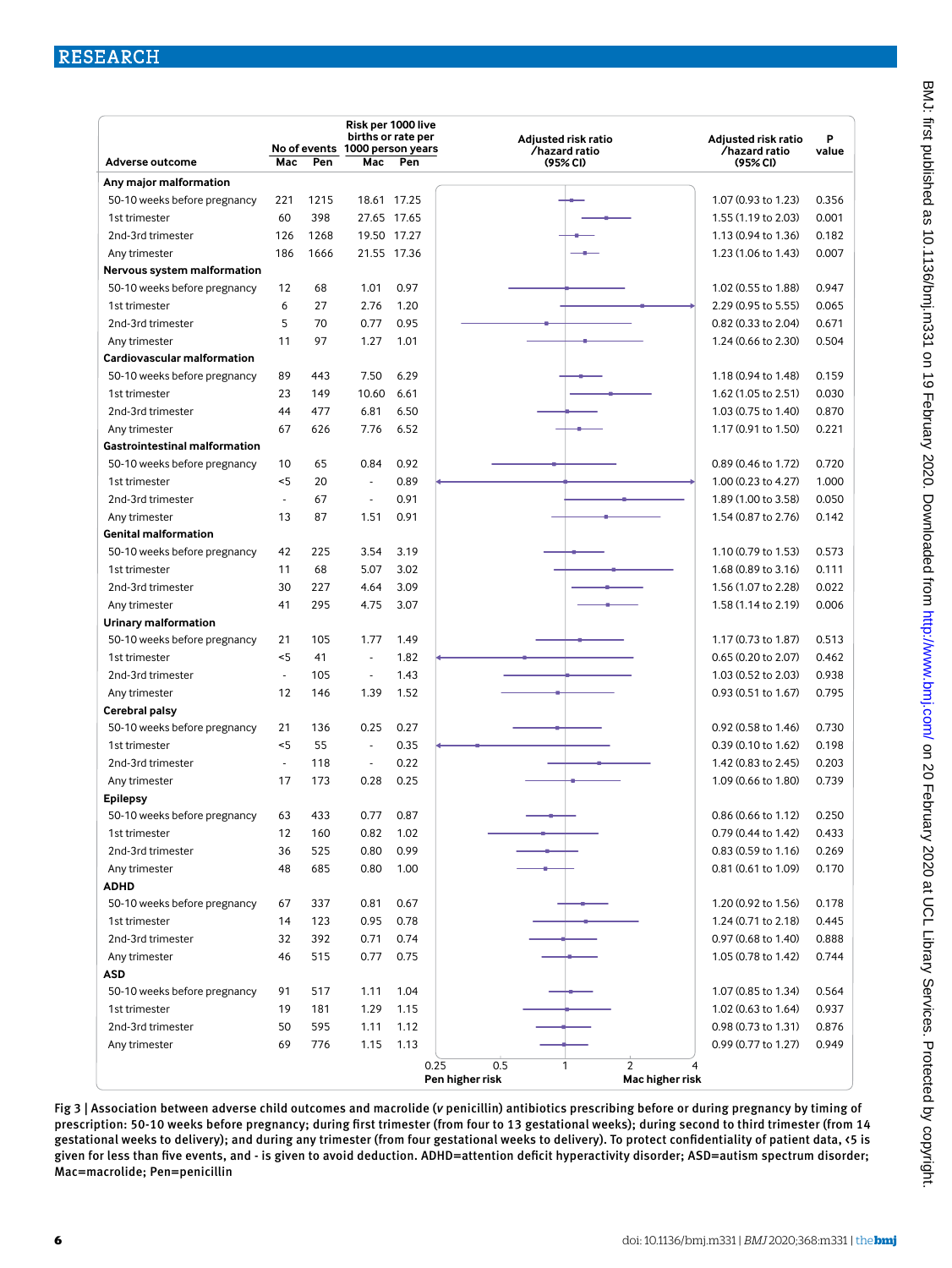|                                      |                          |      | Risk per 1000 live<br>births or rate per |      |                                      |                                      | P     |
|--------------------------------------|--------------------------|------|------------------------------------------|------|--------------------------------------|--------------------------------------|-------|
|                                      |                          |      | No of events 1000 person years           |      | Adjusted risk ratio<br>/hazard ratio | Adjusted risk ratio<br>/hazard ratio | value |
| Adverse outcome                      | Mac                      | Pen  | Mac                                      | Pen  | (95% <sub>C</sub> )                  | (95% CI)                             |       |
| Any major malformation               |                          |      |                                          |      |                                      |                                      |       |
| 50-10 weeks before pregnancy         | 221                      | 1215 | 18.61 17.25                              |      |                                      | 1.07 (0.93 to 1.23)                  | 0.356 |
| 1st trimester                        | 60                       | 398  | 27.65 17.65                              |      |                                      | 1.55 (1.19 to 2.03)                  | 0.001 |
| 2nd-3rd trimester                    | 126                      | 1268 | 19.50 17.27                              |      |                                      | 1.13 (0.94 to 1.36)                  | 0.182 |
| Any trimester                        | 186                      | 1666 | 21.55 17.36                              |      |                                      | 1.23 (1.06 to 1.43)                  | 0.007 |
| Nervous system malformation          |                          |      |                                          |      |                                      |                                      |       |
| 50-10 weeks before pregnancy         | 12                       | 68   | 1.01                                     | 0.97 |                                      | 1.02 (0.55 to 1.88)                  | 0.947 |
| 1st trimester                        | 6                        | 27   | 2.76                                     | 1.20 |                                      | 2.29 (0.95 to 5.55)                  | 0.065 |
| 2nd-3rd trimester                    | 5                        | 70   | 0.77                                     | 0.95 |                                      | 0.82 (0.33 to 2.04)                  | 0.671 |
| Any trimester                        | 11                       | 97   | 1.27                                     | 1.01 |                                      | 1.24 (0.66 to 2.30)                  | 0.504 |
| Cardiovascular malformation          |                          |      |                                          |      |                                      |                                      |       |
| 50-10 weeks before pregnancy         | 89                       | 443  | 7.50                                     | 6.29 |                                      | 1.18 (0.94 to 1.48)                  | 0.159 |
| 1st trimester                        | 23                       | 149  | 10.60                                    | 6.61 |                                      | 1.62 (1.05 to 2.51)                  | 0.030 |
| 2nd-3rd trimester                    | 44                       | 477  | 6.81                                     | 6.50 |                                      | 1.03 (0.75 to 1.40)                  | 0.870 |
| Any trimester                        | 67                       | 626  | 7.76                                     | 6.52 |                                      | 1.17 (0.91 to 1.50)                  | 0.221 |
| <b>Gastrointestinal malformation</b> |                          |      |                                          |      |                                      |                                      |       |
| 50-10 weeks before pregnancy         | 10                       | 65   | 0.84                                     | 0.92 |                                      | 0.89 (0.46 to 1.72)                  | 0.720 |
| 1st trimester                        | <5                       | 20   | $\blacksquare$                           | 0.89 |                                      | 1.00 (0.23 to 4.27)                  | 1.000 |
| 2nd-3rd trimester                    | $\bar{a}$                | 67   | ÷,                                       | 0.91 |                                      | 1.89 (1.00 to 3.58)                  | 0.050 |
| Any trimester                        | 13                       | 87   | 1.51                                     | 0.91 |                                      | 1.54 (0.87 to 2.76)                  | 0.142 |
| <b>Genital malformation</b>          |                          |      |                                          |      |                                      |                                      |       |
| 50-10 weeks before pregnancy         | 42                       | 225  | 3.54                                     | 3.19 |                                      | 1.10 (0.79 to 1.53)                  | 0.573 |
| 1st trimester                        | 11                       | 68   | 5.07                                     | 3.02 |                                      | 1.68 (0.89 to 3.16)                  | 0.111 |
| 2nd-3rd trimester                    | 30                       | 227  | 4.64                                     | 3.09 |                                      | 1.56 (1.07 to 2.28)                  | 0.022 |
| Any trimester                        | 41                       | 295  | 4.75                                     | 3.07 |                                      | 1.58 (1.14 to 2.19)                  | 0.006 |
| Urinary malformation                 |                          |      |                                          |      |                                      |                                      |       |
| 50-10 weeks before pregnancy         | 21                       | 105  | 1.77                                     | 1.49 |                                      | 1.17 (0.73 to 1.87)                  | 0.513 |
| 1st trimester                        | $<$ 5                    | 41   | $\sim$                                   | 1.82 |                                      | 0.65 (0.20 to 2.07)                  | 0.462 |
| 2nd-3rd trimester                    | $\overline{\phantom{a}}$ | 105  | $\sim$                                   | 1.43 |                                      | 1.03 (0.52 to 2.03)                  | 0.938 |
| Any trimester                        | 12                       | 146  | 1.39                                     | 1.52 |                                      | 0.93 (0.51 to 1.67)                  | 0.795 |
| Cerebral palsy                       |                          |      |                                          |      |                                      |                                      |       |
| 50-10 weeks before pregnancy         | 21                       | 136  | 0.25                                     | 0.27 |                                      | 0.92 (0.58 to 1.46)                  | 0.730 |
| 1st trimester                        | $<$ 5                    | 55   | $\omega$                                 | 0.35 |                                      | 0.39 (0.10 to 1.62)                  | 0.198 |
| 2nd-3rd trimester                    | ÷,                       | 118  | $\overline{\phantom{a}}$                 | 0.22 |                                      | 1.42 (0.83 to 2.45)                  | 0.203 |
| Any trimester                        | 17                       | 173  | 0.28                                     | 0.25 |                                      | 1.09 (0.66 to 1.80)                  | 0.739 |
| <b>Epilepsy</b>                      |                          |      |                                          |      |                                      |                                      |       |
| 50-10 weeks before pregnancy         | 63                       | 433  | 0.77                                     | 0.87 |                                      | 0.86 (0.66 to 1.12)                  | 0.250 |
| 1st trimester                        | 12                       | 160  | 0.82                                     | 1.02 |                                      | 0.79 (0.44 to 1.42)                  | 0.433 |
| 2nd-3rd trimester                    | 36                       | 525  | 0.80                                     | 0.99 |                                      | 0.83 (0.59 to 1.16)                  | 0.269 |
| Any trimester                        | 48                       | 685  | 0.80                                     | 1.00 |                                      | 0.81 (0.61 to 1.09)                  | 0.170 |
| ADHD                                 |                          |      |                                          |      |                                      |                                      |       |
| 50-10 weeks before pregnancy         | 67                       | 337  | 0.81                                     | 0.67 |                                      | 1.20 (0.92 to 1.56)                  | 0.178 |
| 1st trimester                        | 14                       | 123  | 0.95                                     | 0.78 |                                      | 1.24 (0.71 to 2.18)                  | 0.445 |
| 2nd-3rd trimester                    | 32                       | 392  | 0.71                                     | 0.74 |                                      | 0.97 (0.68 to 1.40)                  | 0.888 |
| Any trimester                        | 46                       | 515  | 0.77                                     | 0.75 |                                      | 1.05 (0.78 to 1.42)                  | 0.744 |
| ASD                                  |                          |      |                                          |      |                                      |                                      |       |
| 50-10 weeks before pregnancy         | 91                       | 517  | 1.11                                     | 1.04 |                                      | 1.07 (0.85 to 1.34)                  | 0.564 |
| 1st trimester                        | 19                       | 181  | 1.29                                     | 1.15 |                                      | 1.02 (0.63 to 1.64)                  | 0.937 |
| 2nd-3rd trimester                    | 50                       | 595  | 1.11                                     | 1.12 |                                      | 0.98 (0.73 to 1.31)                  | 0.876 |
| Any trimester                        | 69                       | 776  | 1.15                                     | 1.13 |                                      | 0.99 (0.77 to 1.27)                  | 0.949 |
|                                      |                          |      |                                          |      | 0.25<br>0.5<br>$\overline{2}$<br>1   | 4                                    |       |
|                                      |                          |      |                                          |      | Pen higher risk<br>Mac higher risk   |                                      |       |

Fig 3 | Association between adverse child outcomes and macrolide (*v* penicillin) antibiotics prescribing before or during pregnancy by timing of prescription: 50-10 weeks before pregnancy; during first trimester (from four to 13 gestational weeks); during second to third trimester (from 14 gestational weeks to delivery); and during any trimester (from four gestational weeks to delivery). To protect confidentiality of patient data, <5 is given for less than five events, and - is given to avoid deduction. ADHD=attention deficit hyperactivity disorder; ASD=autism spectrum disorder; Mac=macrolide; Pen=penicillin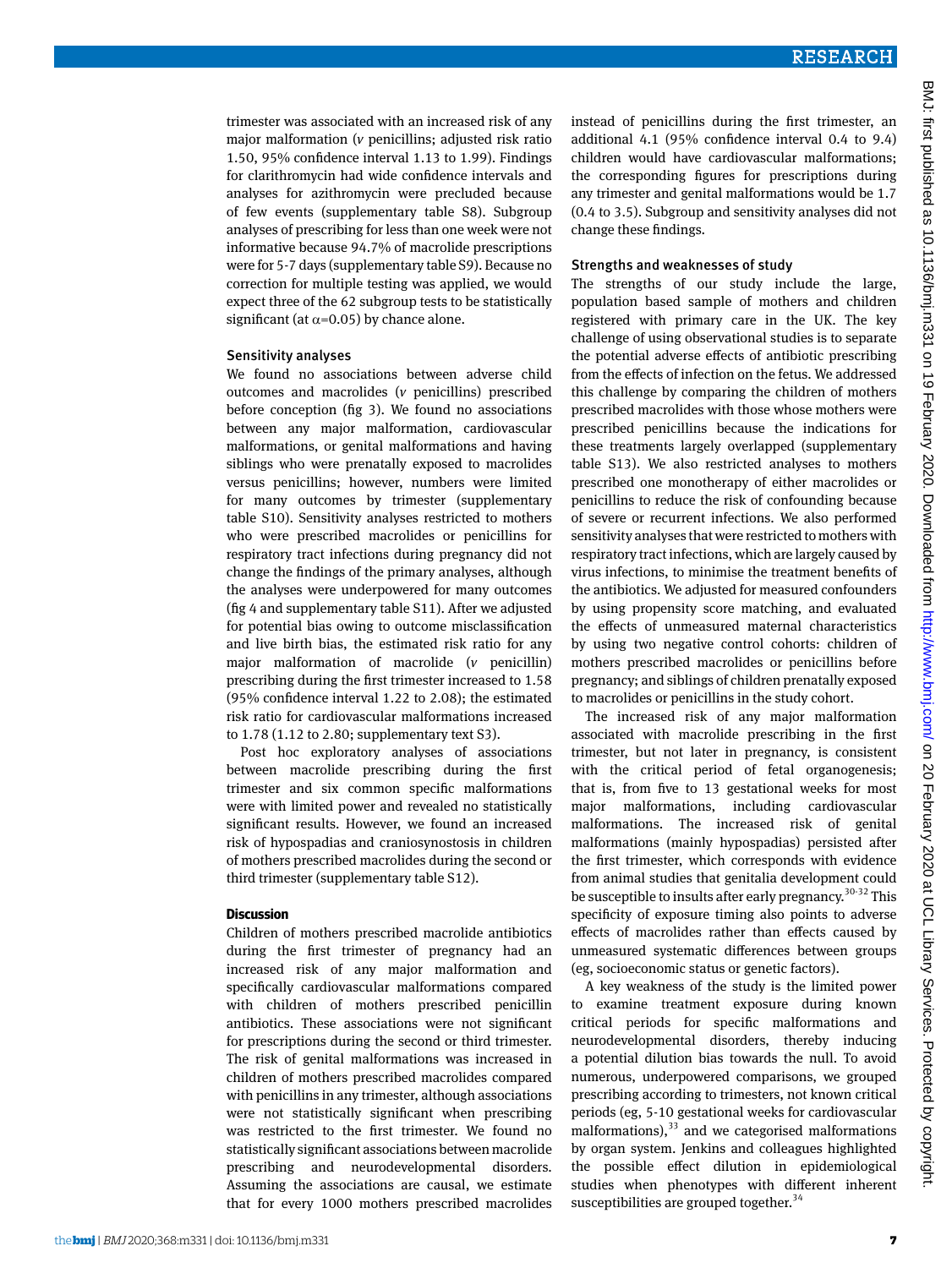trimester was associated with an increased risk of any major malformation (*v* penicillins; adjusted risk ratio 1.50, 95% confidence interval 1.13 to 1.99). Findings for clarithromycin had wide confidence intervals and analyses for azithromycin were precluded because of few events (supplementary table S8). Subgroup analyses of prescribing for less than one week were not informative because 94.7% of macrolide prescriptions were for 5-7 days (supplementary table S9). Because no correction for multiple testing was applied, we would expect three of the 62 subgroup tests to be statistically significant (at  $\alpha$ =0.05) by chance alone.

#### Sensitivity analyses

We found no associations between adverse child outcomes and macrolides (*v* penicillins) prescribed before conception (fig 3). We found no associations between any major malformation, cardiovascular malformations, or genital malformations and having siblings who were prenatally exposed to macrolides versus penicillins; however, numbers were limited for many outcomes by trimester (supplementary table S10). Sensitivity analyses restricted to mothers who were prescribed macrolides or penicillins for respiratory tract infections during pregnancy did not change the findings of the primary analyses, although the analyses were underpowered for many outcomes (fig 4 and supplementary table S11). After we adjusted for potential bias owing to outcome misclassification and live birth bias, the estimated risk ratio for any major malformation of macrolide (*v* penicillin) prescribing during the first trimester increased to 1.58 (95% confidence interval 1.22 to 2.08); the estimated risk ratio for cardiovascular malformations increased to 1.78 (1.12 to 2.80; supplementary text S3).

Post hoc exploratory analyses of associations between macrolide prescribing during the first trimester and six common specific malformations were with limited power and revealed no statistically significant results. However, we found an increased risk of hypospadias and craniosynostosis in children of mothers prescribed macrolides during the second or third trimester (supplementary table S12).

#### **Discussion**

Children of mothers prescribed macrolide antibiotics during the first trimester of pregnancy had an increased risk of any major malformation and specifically cardiovascular malformations compared with children of mothers prescribed penicillin antibiotics. These associations were not significant for prescriptions during the second or third trimester. The risk of genital malformations was increased in children of mothers prescribed macrolides compared with penicillins in any trimester, although associations were not statistically significant when prescribing was restricted to the first trimester. We found no statistically significant associations between macrolide prescribing and neurodevelopmental disorders. Assuming the associations are causal, we estimate that for every 1000 mothers prescribed macrolides instead of penicillins during the first trimester, an additional 4.1 (95% confidence interval 0.4 to 9.4) children would have cardiovascular malformations; the corresponding figures for prescriptions during any trimester and genital malformations would be 1.7 (0.4 to 3.5). Subgroup and sensitivity analyses did not change these findings.

#### Strengths and weaknesses of study

The strengths of our study include the large, population based sample of mothers and children registered with primary care in the UK. The key challenge of using observational studies is to separate the potential adverse effects of antibiotic prescribing from the effects of infection on the fetus. We addressed this challenge by comparing the children of mothers prescribed macrolides with those whose mothers were prescribed penicillins because the indications for these treatments largely overlapped (supplementary table S13). We also restricted analyses to mothers prescribed one monotherapy of either macrolides or penicillins to reduce the risk of confounding because of severe or recurrent infections. We also performed sensitivity analyses that were restricted to mothers with respiratory tract infections, which are largely caused by virus infections, to minimise the treatment benefits of the antibiotics. We adjusted for measured confounders by using propensity score matching, and evaluated the effects of unmeasured maternal characteristics by using two negative control cohorts: children of mothers prescribed macrolides or penicillins before pregnancy; and siblings of children prenatally exposed to macrolides or penicillins in the study cohort.

The increased risk of any major malformation associated with macrolide prescribing in the first trimester, but not later in pregnancy, is consistent with the critical period of fetal organogenesis; that is, from five to 13 gestational weeks for most major malformations, including cardiovascular malformations. The increased risk of genital malformations (mainly hypospadias) persisted after the first trimester, which corresponds with evidence from animal studies that genitalia development could be susceptible to insults after early pregnancy.<sup>30-32</sup> This specificity of exposure timing also points to adverse effects of macrolides rather than effects caused by unmeasured systematic differences between groups (eg, socioeconomic status or genetic factors).

A key weakness of the study is the limited power to examine treatment exposure during known critical periods for specific malformations and neurodevelopmental disorders, thereby inducing a potential dilution bias towards the null. To avoid numerous, underpowered comparisons, we grouped prescribing according to trimesters, not known critical periods (eg, 5-10 gestational weeks for cardiovascular malformations), $33$  and we categorised malformations by organ system. Jenkins and colleagues highlighted the possible effect dilution in epidemiological studies when phenotypes with different inherent susceptibilities are grouped together. $34$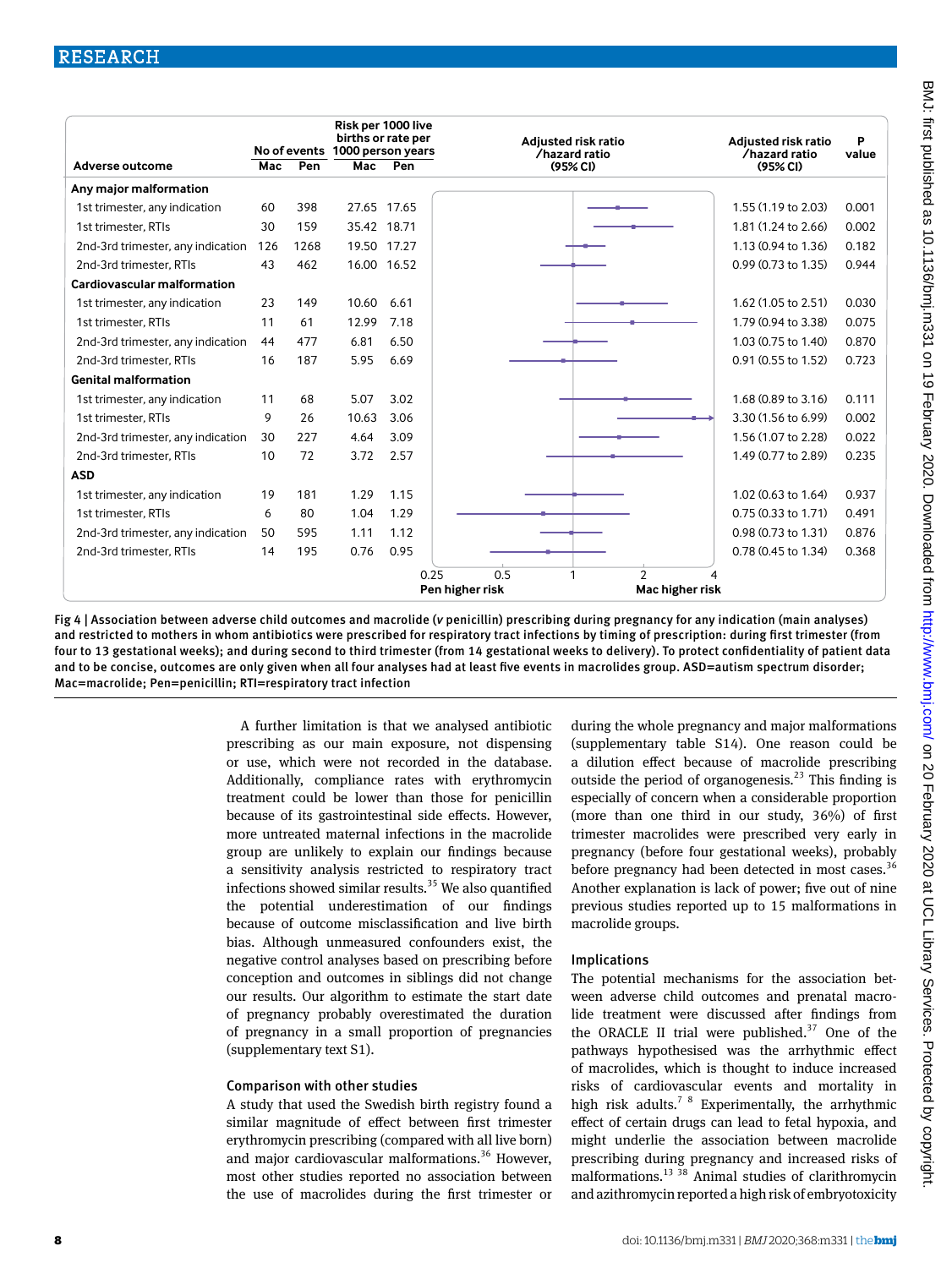|                                   |     | No of events | Risk per 1000 live<br>births or rate per<br>1000 person years |             | Adjusted risk ratio<br>/hazard ratio                                         | Adjusted risk ratio<br>/hazard ratio | P<br>value |
|-----------------------------------|-----|--------------|---------------------------------------------------------------|-------------|------------------------------------------------------------------------------|--------------------------------------|------------|
| Adverse outcome                   | Mac | Pen          | Mac                                                           | Pen         | (95% <sub>C</sub> )                                                          | (95% <sub>C</sub> )                  |            |
| Any major malformation            |     |              |                                                               |             |                                                                              |                                      |            |
| 1st trimester, any indication     | 60  | 398          |                                                               | 27.65 17.65 |                                                                              | 1.55 (1.19 to 2.03)                  | 0.001      |
| 1st trimester, RTIs               | 30  | 159          |                                                               | 35.42 18.71 |                                                                              | 1.81 (1.24 to 2.66)                  | 0.002      |
| 2nd-3rd trimester, any indication | 126 | 1268         |                                                               | 19.50 17.27 |                                                                              | 1.13 (0.94 to 1.36)                  | 0.182      |
| 2nd-3rd trimester, RTIs           | 43  | 462          |                                                               | 16.00 16.52 |                                                                              | 0.99 (0.73 to 1.35)                  | 0.944      |
| Cardiovascular malformation       |     |              |                                                               |             |                                                                              |                                      |            |
| 1st trimester, any indication     | 23  | 149          | 10.60                                                         | 6.61        |                                                                              | 1.62 (1.05 to 2.51)                  | 0.030      |
| 1st trimester, RTIs               | 11  | 61           | 12.99                                                         | 7.18        |                                                                              | 1.79 (0.94 to 3.38)                  | 0.075      |
| 2nd-3rd trimester, any indication | 44  | 477          | 6.81                                                          | 6.50        |                                                                              | 1.03 (0.75 to 1.40)                  | 0.870      |
| 2nd-3rd trimester, RTIs           | 16  | 187          | 5.95                                                          | 6.69        |                                                                              | 0.91 (0.55 to 1.52)                  | 0.723      |
| <b>Genital malformation</b>       |     |              |                                                               |             |                                                                              |                                      |            |
| 1st trimester, any indication     | 11  | 68           | 5.07                                                          | 3.02        |                                                                              | 1.68 (0.89 to 3.16)                  | 0.111      |
| 1st trimester, RTIs               | 9   | 26           | 10.63                                                         | 3.06        |                                                                              | 3.30 (1.56 to 6.99)                  | 0.002      |
| 2nd-3rd trimester, any indication | 30  | 227          | 4.64                                                          | 3.09        |                                                                              | 1.56 (1.07 to 2.28)                  | 0.022      |
| 2nd-3rd trimester, RTIs           | 10  | 72           | 3.72                                                          | 2.57        |                                                                              | 1.49 (0.77 to 2.89)                  | 0.235      |
| <b>ASD</b>                        |     |              |                                                               |             |                                                                              |                                      |            |
| 1st trimester, any indication     | 19  | 181          | 1.29                                                          | 1.15        |                                                                              | 1.02 (0.63 to 1.64)                  | 0.937      |
| 1st trimester, RTIs               | 6   | 80           | 1.04                                                          | 1.29        |                                                                              | 0.75 (0.33 to 1.71)                  | 0.491      |
| 2nd-3rd trimester, any indication | 50  | 595          | 1.11                                                          | 1.12        |                                                                              | 0.98 (0.73 to 1.31)                  | 0.876      |
| 2nd-3rd trimester, RTIs           | 14  | 195          | 0.76                                                          | 0.95        |                                                                              | 0.78 (0.45 to 1.34)                  | 0.368      |
|                                   |     |              |                                                               |             | $\mathcal{P}$<br>0.5<br>0.25<br>1<br>4<br>Pen higher risk<br>Mac higher risk |                                      |            |

Fig 4 | Association between adverse child outcomes and macrolide (*v* penicillin) prescribing during pregnancy for any indication (main analyses) and restricted to mothers in whom antibiotics were prescribed for respiratory tract infections by timing of prescription: during first trimester (from four to 13 gestational weeks); and during second to third trimester (from 14 gestational weeks to delivery). To protect confidentiality of patient data and to be concise, outcomes are only given when all four analyses had at least five events in macrolides group. ASD=autism spectrum disorder; Mac=macrolide; Pen=penicillin; RTI=respiratory tract infection

> A further limitation is that we analysed antibiotic prescribing as our main exposure, not dispensing or use, which were not recorded in the database. Additionally, compliance rates with erythromycin treatment could be lower than those for penicillin because of its gastrointestinal side effects. However, more untreated maternal infections in the macrolide group are unlikely to explain our findings because a sensitivity analysis restricted to respiratory tract infections showed similar results.<sup>35</sup> We also quantified the potential underestimation of our findings because of outcome misclassification and live birth bias. Although unmeasured confounders exist, the negative control analyses based on prescribing before conception and outcomes in siblings did not change our results. Our algorithm to estimate the start date of pregnancy probably overestimated the duration of pregnancy in a small proportion of pregnancies (supplementary text S1).

## Comparison with other studies

A study that used the Swedish birth registry found a similar magnitude of effect between first trimester erythromycin prescribing (compared with all live born) and major cardiovascular malformations.<sup>36</sup> However, most other studies reported no association between the use of macrolides during the first trimester or during the whole pregnancy and major malformations (supplementary table S14). One reason could be a dilution effect because of macrolide prescribing outside the period of organogenesis. $^{23}$  This finding is especially of concern when a considerable proportion (more than one third in our study, 36%) of first trimester macrolides were prescribed very early in pregnancy (before four gestational weeks), probably before pregnancy had been detected in most cases.<sup>36</sup> Another explanation is lack of power; five out of nine previous studies reported up to 15 malformations in macrolide groups.

# Implications

The potential mechanisms for the association between adverse child outcomes and prenatal macrolide treatment were discussed after findings from the ORACLE II trial were published. $37$  One of the pathways hypothesised was the arrhythmic effect of macrolides, which is thought to induce increased risks of cardiovascular events and mortality in high risk adults.<sup>7 8</sup> Experimentally, the arrhythmic effect of certain drugs can lead to fetal hypoxia, and might underlie the association between macrolide prescribing during pregnancy and increased risks of malformations.13 38 Animal studies of clarithromycin and azithromycin reported a high risk of embryotoxicity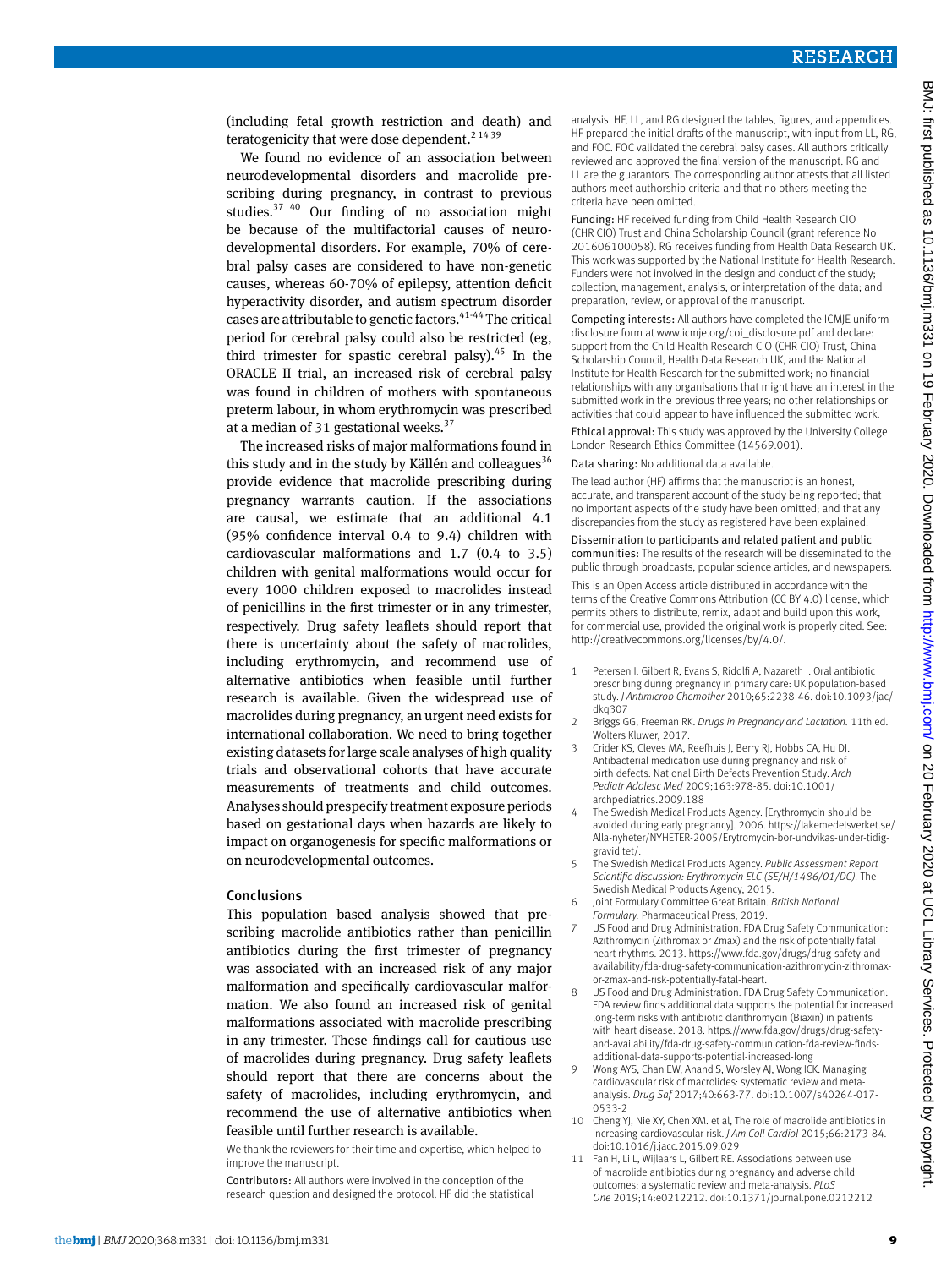(including fetal growth restriction and death) and teratogenicity that were dose dependent.<sup>2 14 39</sup>

We found no evidence of an association between neurodevelopmental disorders and macrolide prescribing during pregnancy, in contrast to previous studies. $37/40$  Our finding of no association might be because of the multifactorial causes of neurodevelopmental disorders. For example, 70% of cerebral palsy cases are considered to have non-genetic causes, whereas 60-70% of epilepsy, attention deficit hyperactivity disorder, and autism spectrum disorder cases are attributable to genetic factors.  $41-44$  The critical period for cerebral palsy could also be restricted (eg, third trimester for spastic cerebral palsy). $45$  In the ORACLE II trial, an increased risk of cerebral palsy was found in children of mothers with spontaneous preterm labour, in whom erythromycin was prescribed at a median of 31 gestational weeks. $37$ 

The increased risks of major malformations found in this study and in the study by Källén and colleagues<sup>36</sup> provide evidence that macrolide prescribing during pregnancy warrants caution. If the associations are causal, we estimate that an additional 4.1 (95% confidence interval 0.4 to 9.4) children with cardiovascular malformations and 1.7 (0.4 to 3.5) children with genital malformations would occur for every 1000 children exposed to macrolides instead of penicillins in the first trimester or in any trimester, respectively. Drug safety leaflets should report that there is uncertainty about the safety of macrolides, including erythromycin, and recommend use of alternative antibiotics when feasible until further research is available. Given the widespread use of macrolides during pregnancy, an urgent need exists for international collaboration. We need to bring together existing datasets for large scale analyses of high quality trials and observational cohorts that have accurate measurements of treatments and child outcomes. Analyses should prespecify treatment exposure periods based on gestational days when hazards are likely to impact on organogenesis for specific malformations or on neurodevelopmental outcomes.

#### Conclusions

This population based analysis showed that prescribing macrolide antibiotics rather than penicillin antibiotics during the first trimester of pregnancy was associated with an increased risk of any major malformation and specifically cardiovascular malformation. We also found an increased risk of genital malformations associated with macrolide prescribing in any trimester. These findings call for cautious use of macrolides during pregnancy. Drug safety leaflets should report that there are concerns about the safety of macrolides, including erythromycin, and recommend the use of alternative antibiotics when feasible until further research is available.

We thank the reviewers for their time and expertise, which helped to improve the manuscript.

Contributors: All authors were involved in the conception of the research question and designed the protocol. HF did the statistical analysis. HF, LL, and RG designed the tables, figures, and appendices. HF prepared the initial drafts of the manuscript, with input from LL, RG, and FOC. FOC validated the cerebral palsy cases. All authors critically reviewed and approved the final version of the manuscript. RG and LL are the guarantors. The corresponding author attests that all listed authors meet authorship criteria and that no others meeting the criteria have been omitted.

Funding: HF received funding from Child Health Research CIO (CHR CIO) Trust and China Scholarship Council (grant reference No 201606100058). RG receives funding from Health Data Research UK. This work was supported by the National Institute for Health Research. Funders were not involved in the design and conduct of the study; collection, management, analysis, or interpretation of the data; and preparation, review, or approval of the manuscript.

Competing interests: All authors have completed the ICMJE uniform disclosure form at [www.icmje.org/coi\\_disclosure.pdf](http://www.icmje.org/coi_disclosure.pdf) and declare: support from the Child Health Research CIO (CHR CIO) Trust, China Scholarship Council, Health Data Research UK, and the National Institute for Health Research for the submitted work; no financial relationships with any organisations that might have an interest in the submitted work in the previous three years; no other relationships or activities that could appear to have influenced the submitted work.

Ethical approval: This study was approved by the University College London Research Ethics Committee (14569.001).

Data sharing: No additional data available.

The lead author (HF) affirms that the manuscript is an honest, accurate, and transparent account of the study being reported; that no important aspects of the study have been omitted; and that any discrepancies from the study as registered have been explained.

Dissemination to participants and related patient and public communities: The results of the research will be disseminated to the public through broadcasts, popular science articles, and newspapers.

This is an Open Access article distributed in accordance with the terms of the Creative Commons Attribution (CC BY 4.0) license, which permits others to distribute, remix, adapt and build upon this work, for commercial use, provided the original work is properly cited. See: <http://creativecommons.org/licenses/by/4.0/>.

- 1 Petersen I, Gilbert R, Evans S, Ridolfi A, Nazareth I. Oral antibiotic prescribing during pregnancy in primary care: UK population-based study. *J Antimicrob Chemother* 2010;65:2238-46. doi:10.1093/jac/ dkq307
- 2 Briggs GG, Freeman RK. *Drugs in Pregnancy and Lactation.* 11th ed. Wolters Kluwer, 2017.
- 3 Crider KS, Cleves MA, Reefhuis J, Berry RJ, Hobbs CA, Hu DJ. Antibacterial medication use during pregnancy and risk of birth defects: National Birth Defects Prevention Study. *Arch Pediatr Adolesc Med* 2009;163:978-85. doi:10.1001/ archpediatrics.2009.188
- The Swedish Medical Products Agency. [Erythromycin should be avoided during early pregnancy]. 2006. [https://lakemedelsverket.se/](https://lakemedelsverket.se/Alla-nyheter/NYHETER-2005/Erytromycin-bor-undvikas-under-tidig-graviditet/) [Alla-nyheter/NYHETER-2005/Erytromycin-bor-undvikas-under-tidig](https://lakemedelsverket.se/Alla-nyheter/NYHETER-2005/Erytromycin-bor-undvikas-under-tidig-graviditet/)[graviditet/.](https://lakemedelsverket.se/Alla-nyheter/NYHETER-2005/Erytromycin-bor-undvikas-under-tidig-graviditet/)
- 5 The Swedish Medical Products Agency. *Public Assessment Report Scientific discussion: Erythromycin ELC (SE/H/1486/01/DC).* The Swedish Medical Products Agency, 2015.
- 6 Joint Formulary Committee Great Britain. *British National Formulary.* Pharmaceutical Press, 2019.
- US Food and Drug Administration. FDA Drug Safety Communication: Azithromycin (Zithromax or Zmax) and the risk of potentially fatal heart rhythms. 2013. [https://www.fda.gov/drugs/drug-safety-and](https://www.fda.gov/drugs/drug-safety-and-availability/fda-drug-safety-communication-azithromycin-zithromax-or-zmax-and-risk-potentially-fatal-heart)[availability/fda-drug-safety-communication-azithromycin-zithromax](https://www.fda.gov/drugs/drug-safety-and-availability/fda-drug-safety-communication-azithromycin-zithromax-or-zmax-and-risk-potentially-fatal-heart)[or-zmax-and-risk-potentially-fatal-heart.](https://www.fda.gov/drugs/drug-safety-and-availability/fda-drug-safety-communication-azithromycin-zithromax-or-zmax-and-risk-potentially-fatal-heart)
- 8 US Food and Drug Administration. FDA Drug Safety Communication: FDA review finds additional data supports the potential for increased long-term risks with antibiotic clarithromycin (Biaxin) in patients with heart disease. 2018. [https://www.fda.gov/drugs/drug-safety](https://www.fda.gov/drugs/drug-safety-and-availability/fda-drug-safety-communication-fda-review-finds-additional-data-supports-potential-increased-long)[and-availability/fda-drug-safety-communication-fda-review-finds](https://www.fda.gov/drugs/drug-safety-and-availability/fda-drug-safety-communication-fda-review-finds-additional-data-supports-potential-increased-long)[additional-data-supports-potential-increased-long](https://www.fda.gov/drugs/drug-safety-and-availability/fda-drug-safety-communication-fda-review-finds-additional-data-supports-potential-increased-long)
- Wong AYS, Chan EW, Anand S, Worsley AJ, Wong ICK. Managing cardiovascular risk of macrolides: systematic review and metaanalysis. *Drug Saf* 2017;40:663-77. doi:10.1007/s40264-017- 0533-2
- 10 Cheng YJ, Nie XY, Chen XM. et al, The role of macrolide antibiotics in increasing cardiovascular risk. *J Am Coll Cardiol* 2015;66:2173-84. doi:10.1016/j.jacc.2015.09.029
- 11 Fan H, Li L, Wijlaars L, Gilbert RE. Associations between use of macrolide antibiotics during pregnancy and adverse child outcomes: a systematic review and meta-analysis. *PLoS One* 2019;14:e0212212. doi:10.1371/journal.pone.0212212